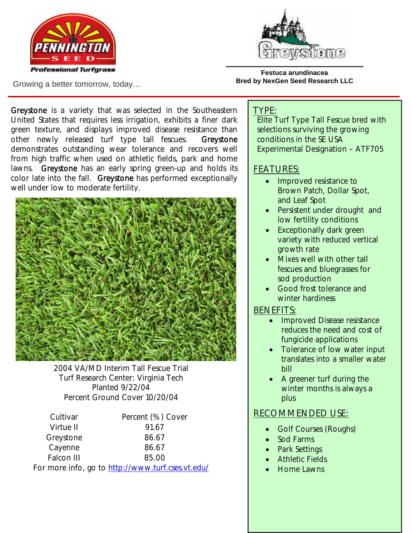



Growing a better tomorrow, today…

**Festuca arundinacea Bred by NexGen Seed Research LLC** 

Greystone is a variety that was selected in the Southeastern United States that requires less irrigation, exhibits a finer dark green texture, and displays improved disease resistance than other newly released turf type tall fescues. Greystone demonstrates outstanding wear tolerance and recovers well from high traffic when used on athletic fields, park and home lawns. Greystone has an early spring green-up and holds its color late into the fall. Greystone has performed exceptionally well under low to moderate fertility.



2004 VA/MD Interim Tall Fescue Trial Turf Research Center: Virginia Tech Planted 9/22/04 Percent Ground Cover 10/20/04

| Cultivar   | Percent (%) Cover |  |  |
|------------|-------------------|--|--|
| Virtue II  | 91.67             |  |  |
| Greystone  | 86.67             |  |  |
| Cayenne    | 86.67             |  |  |
| Falcon III | 85.00             |  |  |
|            |                   |  |  |

For more info, go to http://www.turf.cses.vt.edu/

### TYPE:

Elite Turf Type Tall Fescue bred with selections surviving the growing conditions in the SE USA Experimental Designation – ATF705

# FEATURES:

- Improved resistance to Brown Patch, Dollar Spot, and Leaf Spot
- Persistent under drought and low fertility conditions
- Exceptionally dark green variety with reduced vertical growth rate
- Mixes well with other tall fescues and bluegrasses for sod production
- Good frost tolerance and winter hardiness

### BENEFITS:

- Improved Disease resistance reduces the need and cost of fungicide applications
- Tolerance of low water input translates into a smaller water bill
- A greener turf during the winter months is always a plus

# RECOMMENDED USE:

- Golf Courses (Roughs)
- Sod Farms
- Park Settings
- Athletic Fields
- Home Lawns